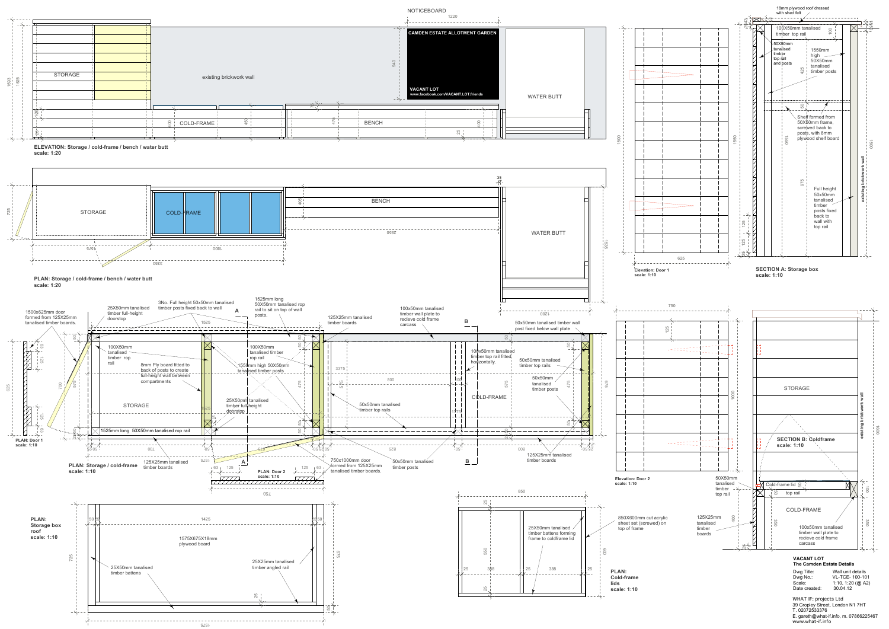1220

|              |                                      |                 |                                  |                           |                     | - ユー                                                  |
|--------------|--------------------------------------|-----------------|----------------------------------|---------------------------|---------------------|-------------------------------------------------------|
| 1525<br>1593 |                                      |                 |                                  |                           |                     | <b>CAMDEN ESTATE ALLOTMENT</b>                        |
|              | STORAGE                              |                 | existing brickwork wall          |                           |                     | 940                                                   |
|              |                                      |                 |                                  |                           |                     | <b>VACANT LOT</b><br>www.facebook.com/VACANT.LOT.frie |
|              |                                      |                 |                                  | $\overline{10}$<br>$\sim$ |                     |                                                       |
|              | 25<br>$\overline{\phantom{0}}$<br>-- |                 | 450<br>$rac{1}{2}$<br>COLD-FRAME |                           | 475<br><b>BENCH</b> |                                                       |
|              | 25<br>$\overline{1}$                 | الشاهي المتعالي |                                  |                           |                     | 25                                                    |